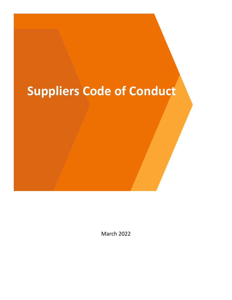# **Suppliers Code of Conduct**

March 2022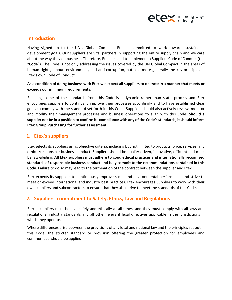

# **Introduction**

Having signed up to the UN's Global Compact, Etex is committed to work towards sustainable development goals. Our suppliers are vital partners in supporting the entire supply chain and we care about the way they do business. Therefore, Etex decided to implement a Suppliers Code of Conduct (the "**Code**"). The Code is not only addressing the issues covered by the UN Global Compact in the areas of human rights, labour, environment, and anti-corruption, but also more generally the key principles in Etex's own Code of Conduct.

#### **As a condition of doing business with Etex we expect all suppliers to operate in a manner that meets or exceeds our minimum requirements**.

Reaching some of the standards from this Code is a dynamic rather than static process and Etex encourages suppliers to continually improve their processes accordingly and to have established clear goals to comply with the standard set forth in this Code. Suppliers should also actively review, monitor and modify their management processes and business operations to align with this Code. **Should a supplier not be in a position to confirm its compliance with any of the Code's standards, it should inform Etex Group Purchasing for further assessment.** 

# **1. Etex's suppliers**

Etex selects its suppliers using objective criteria, including but not limited to products, price, services, and ethical/responsible business conduct. Suppliers should be quality-driven, innovative, efficient and must be law-abiding. **All Etex suppliers must adhere to good ethical practices and internationally recognised standards of responsible business conduct and fully commit to the recommendations contained in this Code**. Failure to do so may lead to the termination of the contract between the supplier and Etex.

Etex expects its suppliers to continuously improve social and environmental performance and strive to meet or exceed international and industry best practices. Etex encourages Suppliers to work with their own suppliers and subcontractors to ensure that they also strive to meet the standards of this Code.

# **2. Suppliers' commitment to Safety, Ethics, Law and Regulations**

Etex's suppliers must behave safely and ethically at all times, and they must comply with all laws and regulations, industry standards and all other relevant legal directives applicable in the jurisdictions in which they operate.

Where differences arise between the provisions of any local and national law and the principles set out in this Code, the stricter standard or provision offering the greater protection for employees and communities, should be applied.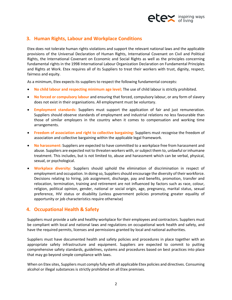

# **3. Human Rights, Labour and Workplace Conditions**

Etex does not tolerate human rights violations and support the relevant national laws and the applicable provisions of the Universal Declaration of Human Rights, International Covenant on Civil and Political Rights, the International Covenant on Economic and Social Rights as well as the principles concerning fundamental rights in the 1998 International Labour Organization Declaration on Fundamental Principles and Rights at Work. Etex requires all of its Suppliers to treat their workers with trust, dignity, respect, fairness and equity.

As a minimum, Etex expects its suppliers to respect the following fundamental concepts:

- **No child labour and respecting minimum age level;** The use of child labour is strictly prohibited.
- **No forced or compulsory labour** and ensuring that forced, compulsory labour, or any form of slavery does not exist in their organisations. All employment must be voluntary.
- **Employment standards:** Suppliers must support the application of fair and just remuneration. Suppliers should observe standards of employment and industrial relations no less favourable than those of similar employers in the country when it comes to compensation and working time arrangements.
- **Freedom of association and right to collective bargaining:** Suppliers must recognise the freedom of association and collective bargaining within the applicable legal framework.
- **No harassment:** Suppliers are expected to have committed to a workplace free from harassment and abuse. Suppliers are expected not to threaten workers with, or subject them to, unlawful or inhumane treatment. This includes, but is not limited to, abuse and harassment which can be verbal, physical, sexual, or psychological.
- **Workplace diversity:** Suppliers should uphold the elimination of discrimination in respect of employment and occupation. In doing so, Suppliers should encourage the diversity of their workforce. Decisions relating to hiring, job assignment, discharge, pay and benefits, promotion, transfer and relocation, termination, training and retirement are not influenced by factors such as race, colour, religion, political opinion, gender, national or social origin, age, pregnancy, marital status, sexual preference, HIV status or disability (unless government policies promoting greater equality of opportunity or job characteristics require otherwise)

## **4. Occupational Health & Safety**

Suppliers must provide a safe and healthy workplace for their employees and contractors. Suppliers must be compliant with local and national laws and regulations on occupational work health and safety, and have the required permits, licenses and permissions granted by local and national authorities.

Suppliers must have documented health and safety policies and procedures in place together with an appropriate safety infrastructure and equipment. Suppliers are expected to commit to putting comprehensive safety standards, guidelines, systems and procedures based on best practices into place that may go beyond simple compliance with laws.

When on Etex sites, Suppliers must comply fully with all applicable Etex policies and directives. Consuming alcohol or illegal substances is strictly prohibited on all Etex premises.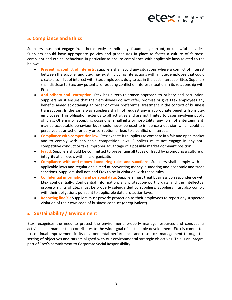

# **5. Compliance and Ethics**

Suppliers must not engage in, either directly or indirectly, fraudulent, corrupt, or unlawful activities. Suppliers should have appropriate policies and procedures in place to foster a culture of fairness, compliant and ethical behaviour, in particular to ensure compliance with applicable laws related to the below:

- **Preventing conflict of interests:** suppliers shall avoid any situations where a conflict of interest between the supplier and Etex may exist including interactions with an Etex employee that could create a conflict of interest with Etex employee's duty to act in the best interest of Etex. Suppliers shall disclose to Etex any potential or existing conflict of interest situation in its relationship with Etex.
- **Anti-bribery and -corruption:** Etex has a zero-tolerance approach to bribery and corruption. Suppliers must ensure that their employees do not offer, promise or give Etex employees any benefits aimed at obtaining an order or other preferential treatment in the context of business transactions. In the same way suppliers shall not request any inappropriate benefits from Etex employees. This obligation extends to all activities and are not limited to cases involving public officials. Offering or accepting occasional small gifts or hospitality (any form of entertainment) may be acceptable behaviour but should never be used to influence a decision which could be perceived as an act of bribery or corruption or lead to a conflict of interest.
- **Compliance with competition law:** Etex expects its suppliers to compete in a fair and open market and to comply with applicable competition laws. Suppliers must not engage in any anticompetitive conduct or take improper advantage of a possible market dominant position.
- **Fraud:** Suppliers should be committed to preventing all types of fraud by promoting a culture of integrity at all levels within its organization.
- **Compliance with anti-money laundering rules and sanctions:** Suppliers shall comply with all applicable laws and regulations aimed at preventing money laundering and economic and trade sanctions. Suppliers shall not lead Etex to be in violation with these rules.
- **Confidential information and personal data:** Suppliers must treat business correspondence with Etex confidentially. Confidential information, any protection-worthy data and the intellectual property rights of Etex must be properly safeguarded by suppliers. Suppliers must also comply with their obligations pursuant to applicable data protection laws.
- **Reporting line(s):** Suppliers must provide protection to their employees to report any suspected violation of their own code of business conduct (or equivalent).

## **5. Sustainability / Environment**

Etex recognises the need to protect the environment, properly manage resources and conduct its activities in a manner that contributes to the wider goal of sustainable development. Etex is committed to continual improvement in its environmental performance and resources management through the setting of objectives and targets aligned with our environmental strategic objectives. This is an integral part of Etex's commitment to Corporate Social Responsibility.